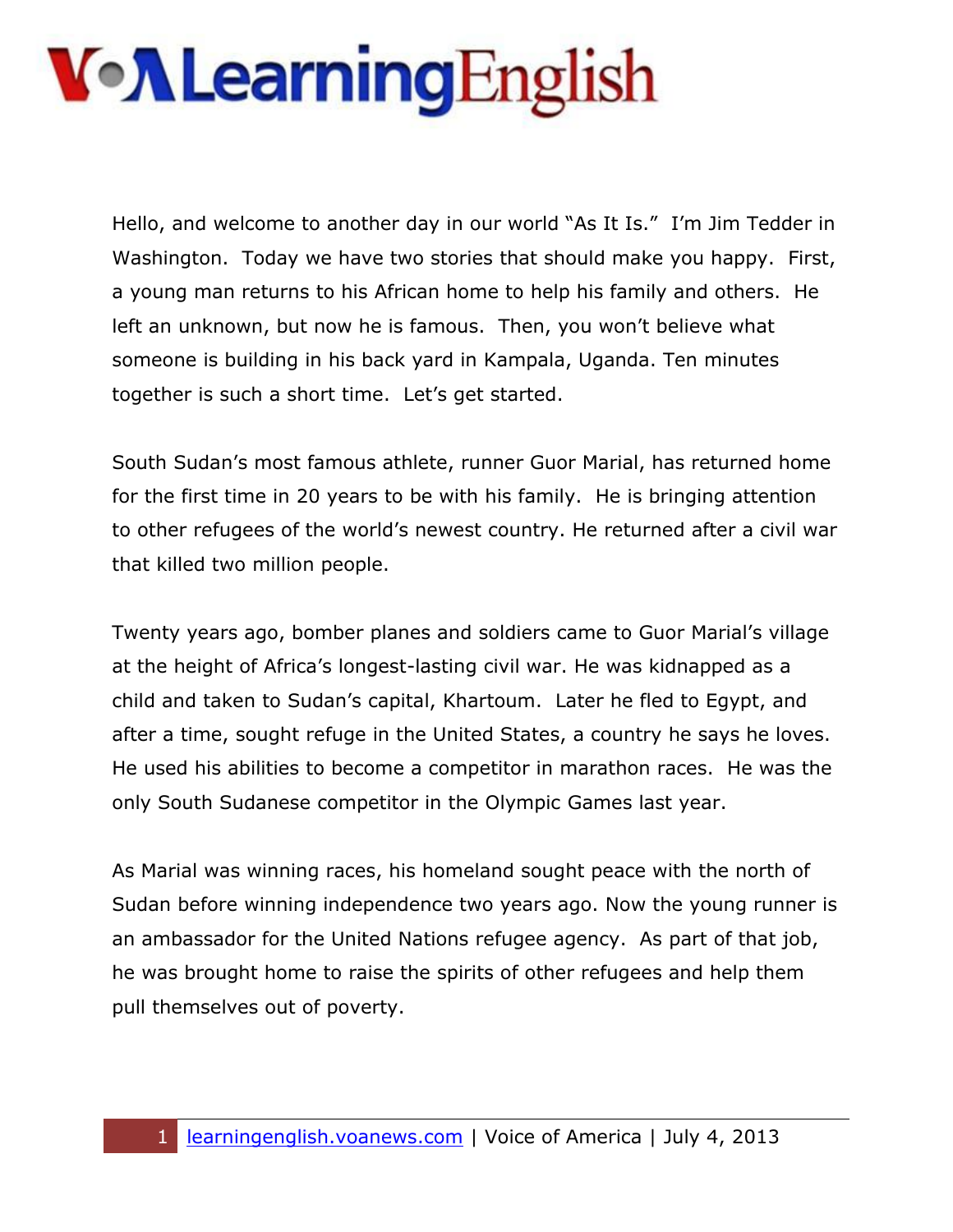Hello, and welcome to another day in our world "As It Is." I'm Jim Tedder in Washington. Today we have two stories that should make you happy. First, a young man returns to his African home to help his family and others. He left an unknown, but now he is famous. Then, you won't believe what someone is building in his back yard in Kampala, Uganda. Ten minutes together is such a short time. Let's get started.

South Sudan's most famous athlete, runner Guor Marial, has returned home for the first time in 20 years to be with his family. He is bringing attention to other refugees of the world's newest country. He returned after a civil war that killed two million people.

Twenty years ago, bomber planes and soldiers came to Guor Marial's village at the height of Africa's longest-lasting civil war. He was kidnapped as a child and taken to Sudan's capital, Khartoum. Later he fled to Egypt, and after a time, sought refuge in the United States, a country he says he loves. He used his abilities to become a competitor in marathon races. He was the only South Sudanese competitor in the Olympic Games last year.

As Marial was winning races, his homeland sought peace with the north of Sudan before winning independence two years ago. Now the young runner is an ambassador for the United Nations refugee agency. As part of that job, he was brought home to raise the spirits of other refugees and help them pull themselves out of poverty.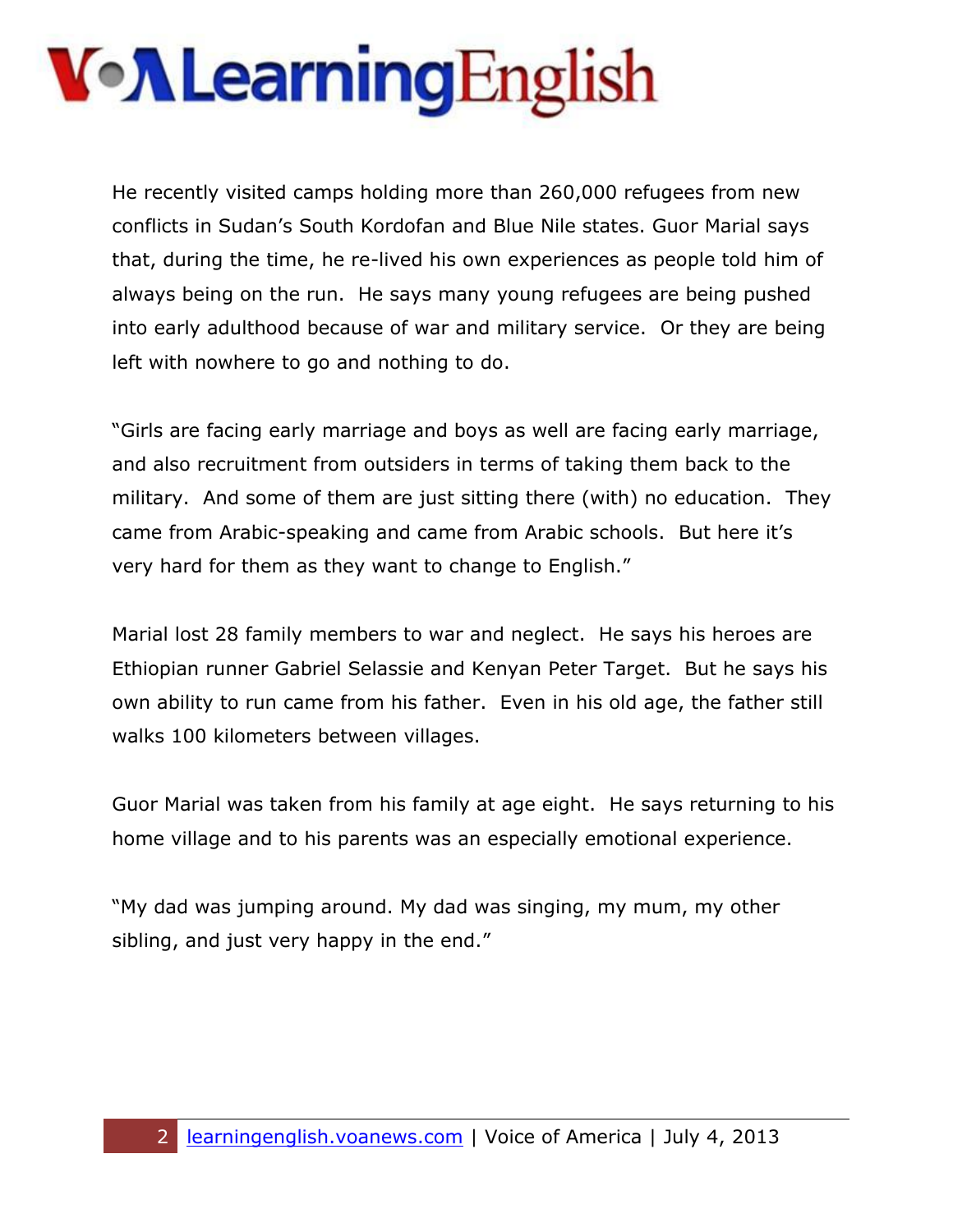He recently visited camps holding more than 260,000 refugees from new conflicts in Sudan's South Kordofan and Blue Nile states. Guor Marial says that, during the time, he re-lived his own experiences as people told him of always being on the run. He says many young refugees are being pushed into early adulthood because of war and military service. Or they are being left with nowhere to go and nothing to do.

"Girls are facing early marriage and boys as well are facing early marriage, and also recruitment from outsiders in terms of taking them back to the military. And some of them are just sitting there (with) no education. They came from Arabic-speaking and came from Arabic schools. But here it's very hard for them as they want to change to English."

Marial lost 28 family members to war and neglect. He says his heroes are Ethiopian runner Gabriel Selassie and Kenyan Peter Target. But he says his own ability to run came from his father. Even in his old age, the father still walks 100 kilometers between villages.

Guor Marial was taken from his family at age eight. He says returning to his home village and to his parents was an especially emotional experience.

"My dad was jumping around. My dad was singing, my mum, my other sibling, and just very happy in the end."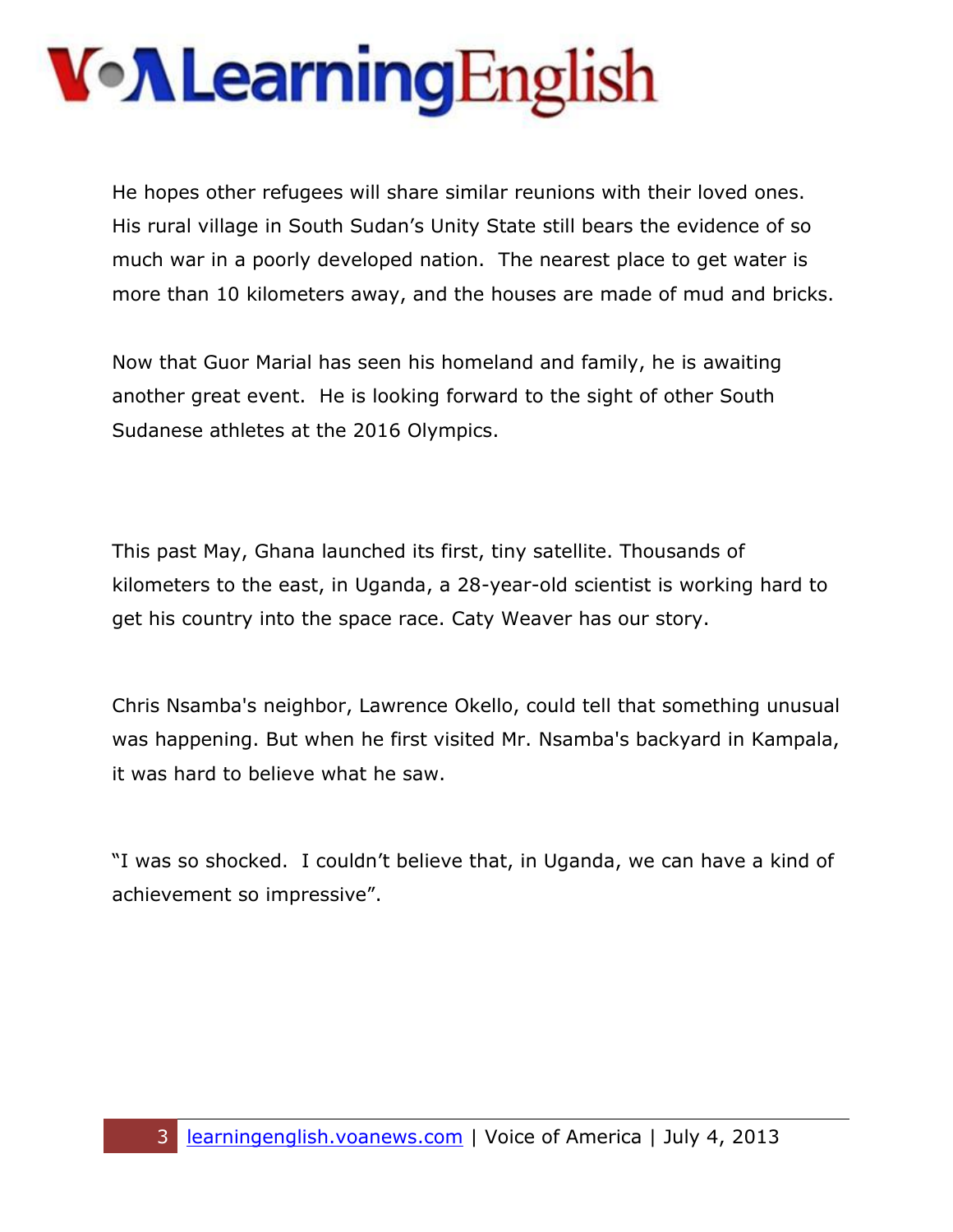He hopes other refugees will share similar reunions with their loved ones. His rural village in South Sudan's Unity State still bears the evidence of so much war in a poorly developed nation. The nearest place to get water is more than 10 kilometers away, and the houses are made of mud and bricks.

Now that Guor Marial has seen his homeland and family, he is awaiting another great event. He is looking forward to the sight of other South Sudanese athletes at the 2016 Olympics.

This past May, Ghana launched its first, tiny satellite. Thousands of kilometers to the east, in Uganda, a 28-year-old scientist is working hard to get his country into the space race. Caty Weaver has our story.

Chris Nsamba's neighbor, Lawrence Okello, could tell that something unusual was happening. But when he first visited Mr. Nsamba's backyard in Kampala, it was hard to believe what he saw.

"I was so shocked. I couldn't believe that, in Uganda, we can have a kind of achievement so impressive".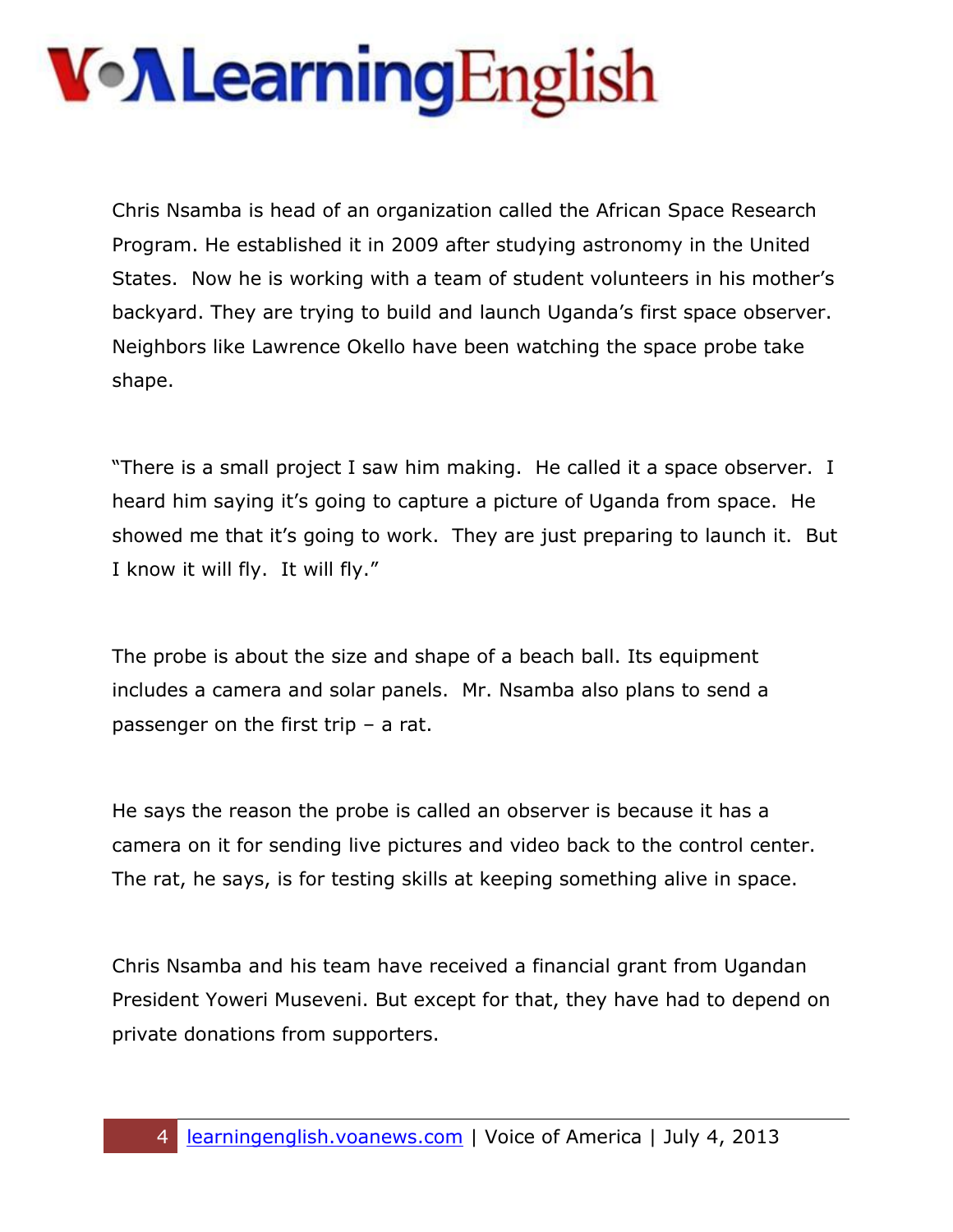Chris Nsamba is head of an organization called the African Space Research Program. He established it in 2009 after studying astronomy in the United States. Now he is working with a team of student volunteers in his mother's backyard. They are trying to build and launch Uganda's first space observer. Neighbors like Lawrence Okello have been watching the space probe take shape.

"There is a small project I saw him making. He called it a space observer. I heard him saying it's going to capture a picture of Uganda from space. He showed me that it's going to work. They are just preparing to launch it. But I know it will fly. It will fly."

The probe is about the size and shape of a beach ball. Its equipment includes a camera and solar panels. Mr. Nsamba also plans to send a passenger on the first trip – a rat.

He says the reason the probe is called an observer is because it has a camera on it for sending live pictures and video back to the control center. The rat, he says, is for testing skills at keeping something alive in space.

Chris Nsamba and his team have received a financial grant from Ugandan President Yoweri Museveni. But except for that, they have had to depend on private donations from supporters.